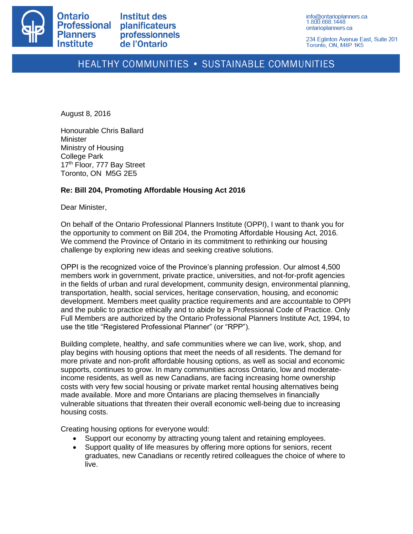

**Institut des planificateurs** professionnels de l'Ontario

info@ontarioplanners.ca 1.800.668.1448 ontarioplanners.ca

234 Eglinton Avenue East, Suite 201 Toronto, ON, M4P 1K5

# HEALTHY COMMUNITIES . SUSTAINABLE COMMUNITIES

August 8, 2016

Honourable Chris Ballard **Minister** Ministry of Housing College Park 17<sup>th</sup> Floor, 777 Bay Street Toronto, ON M5G 2E5

# **Re: Bill 204, Promoting Affordable Housing Act 2016**

Dear Minister,

On behalf of the Ontario Professional Planners Institute (OPPI), I want to thank you for the opportunity to comment on Bill 204, the Promoting Affordable Housing Act, 2016. We commend the Province of Ontario in its commitment to rethinking our housing challenge by exploring new ideas and seeking creative solutions.

OPPI is the recognized voice of the Province's planning profession. Our almost 4,500 members work in government, private practice, universities, and not-for-profit agencies in the fields of urban and rural development, community design, environmental planning, transportation, health, social services, heritage conservation, housing, and economic development. Members meet quality practice requirements and are accountable to OPPI and the public to practice ethically and to abide by a Professional Code of Practice. Only Full Members are authorized by the Ontario Professional Planners Institute Act, 1994, to use the title "Registered Professional Planner" (or "RPP").

Building complete, healthy, and safe communities where we can live, work, shop, and play begins with housing options that meet the needs of all residents. The demand for more private and non-profit affordable housing options, as well as social and economic supports, continues to grow. In many communities across Ontario, low and moderateincome residents, as well as new Canadians, are facing increasing home ownership costs with very few social housing or private market rental housing alternatives being made available. More and more Ontarians are placing themselves in financially vulnerable situations that threaten their overall economic well-being due to increasing housing costs.

Creating housing options for everyone would:

- Support our economy by attracting young talent and retaining employees.
- Support quality of life measures by offering more options for seniors, recent graduates, new Canadians or recently retired colleagues the choice of where to live.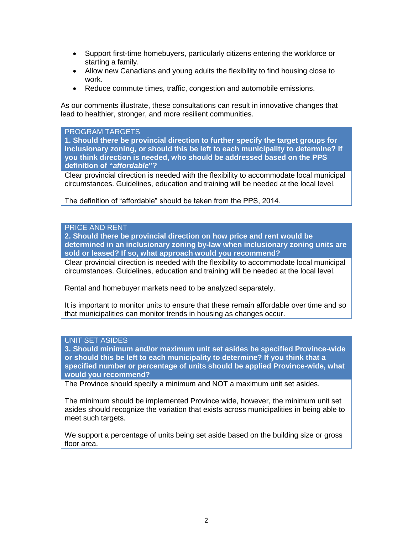- Support first-time homebuyers, particularly citizens entering the workforce or starting a family.
- Allow new Canadians and young adults the flexibility to find housing close to work.
- Reduce commute times, traffic, congestion and automobile emissions.

As our comments illustrate, these consultations can result in innovative changes that lead to healthier, stronger, and more resilient communities.

## PROGRAM TARGETS

**1. Should there be provincial direction to further specify the target groups for inclusionary zoning, or should this be left to each municipality to determine? If you think direction is needed, who should be addressed based on the PPS definition of "***affordable***"?**

Clear provincial direction is needed with the flexibility to accommodate local municipal circumstances. Guidelines, education and training will be needed at the local level.

The definition of "affordable" should be taken from the PPS, 2014.

# PRICE AND RENT

**2. Should there be provincial direction on how price and rent would be determined in an inclusionary zoning by-law when inclusionary zoning units are sold or leased? If so, what approach would you recommend?**

Clear provincial direction is needed with the flexibility to accommodate local municipal circumstances. Guidelines, education and training will be needed at the local level.

Rental and homebuyer markets need to be analyzed separately.

It is important to monitor units to ensure that these remain affordable over time and so that municipalities can monitor trends in housing as changes occur.

# UNIT SET ASIDES

**3. Should minimum and/or maximum unit set asides be specified Province-wide or should this be left to each municipality to determine? If you think that a specified number or percentage of units should be applied Province-wide, what would you recommend?**

The Province should specify a minimum and NOT a maximum unit set asides.

The minimum should be implemented Province wide, however, the minimum unit set asides should recognize the variation that exists across municipalities in being able to meet such targets.

We support a percentage of units being set aside based on the building size or gross floor area.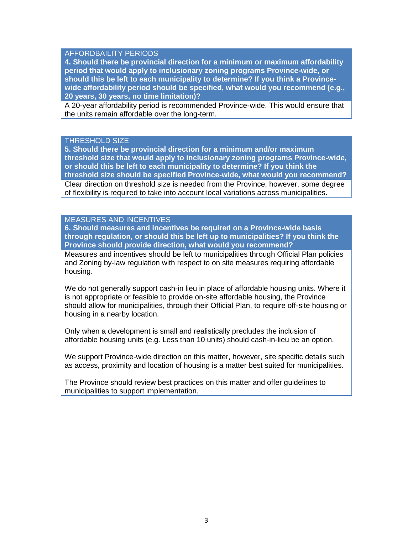# AFFORDBAILITY PERIODS

**4. Should there be provincial direction for a minimum or maximum affordability period that would apply to inclusionary zoning programs Province-wide, or should this be left to each municipality to determine? If you think a Provincewide affordability period should be specified, what would you recommend (e.g., 20 years, 30 years, no time limitation)?**

A 20-year affordability period is recommended Province-wide. This would ensure that the units remain affordable over the long-term.

#### THRESHOLD SIZE

**5. Should there be provincial direction for a minimum and/or maximum threshold size that would apply to inclusionary zoning programs Province-wide, or should this be left to each municipality to determine? If you think the threshold size should be specified Province-wide, what would you recommend?** Clear direction on threshold size is needed from the Province, however, some degree of flexibility is required to take into account local variations across municipalities.

# MEASURES AND INCENTIVES

**6. Should measures and incentives be required on a Province-wide basis through regulation, or should this be left up to municipalities? If you think the Province should provide direction, what would you recommend?**

Measures and incentives should be left to municipalities through Official Plan policies and Zoning by-law regulation with respect to on site measures requiring affordable housing.

We do not generally support cash-in lieu in place of affordable housing units. Where it is not appropriate or feasible to provide on-site affordable housing, the Province should allow for municipalities, through their Official Plan, to require off-site housing or housing in a nearby location.

Only when a development is small and realistically precludes the inclusion of affordable housing units (e.g. Less than 10 units) should cash-in-lieu be an option.

We support Province-wide direction on this matter, however, site specific details such as access, proximity and location of housing is a matter best suited for municipalities.

The Province should review best practices on this matter and offer guidelines to municipalities to support implementation.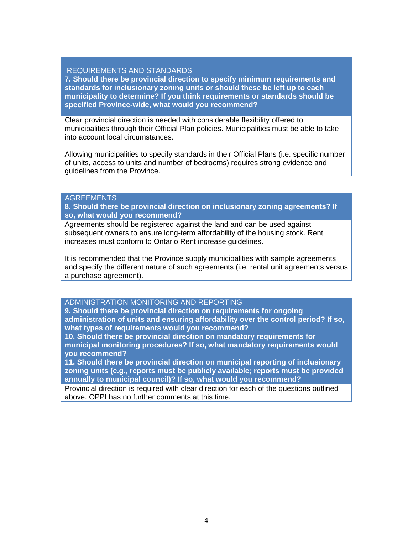## REQUIREMENTS AND STANDARDS

**7. Should there be provincial direction to specify minimum requirements and standards for inclusionary zoning units or should these be left up to each municipality to determine? If you think requirements or standards should be specified Province-wide, what would you recommend?**

Clear provincial direction is needed with considerable flexibility offered to municipalities through their Official Plan policies. Municipalities must be able to take into account local circumstances.

Allowing municipalities to specify standards in their Official Plans (i.e. specific number of units, access to units and number of bedrooms) requires strong evidence and guidelines from the Province.

## AGREEMENTS

**8. Should there be provincial direction on inclusionary zoning agreements? If so, what would you recommend?**

Agreements should be registered against the land and can be used against subsequent owners to ensure long-term affordability of the housing stock. Rent increases must conform to Ontario Rent increase guidelines.

It is recommended that the Province supply municipalities with sample agreements and specify the different nature of such agreements (i.e. rental unit agreements versus a purchase agreement).

# ADMINISTRATION MONITORING AND REPORTING

**9. Should there be provincial direction on requirements for ongoing administration of units and ensuring affordability over the control period? If so, what types of requirements would you recommend?**

**10. Should there be provincial direction on mandatory requirements for municipal monitoring procedures? If so, what mandatory requirements would you recommend?**

**11. Should there be provincial direction on municipal reporting of inclusionary zoning units (e.g., reports must be publicly available; reports must be provided annually to municipal council)? If so, what would you recommend?**

Provincial direction is required with clear direction for each of the questions outlined above. OPPI has no further comments at this time.